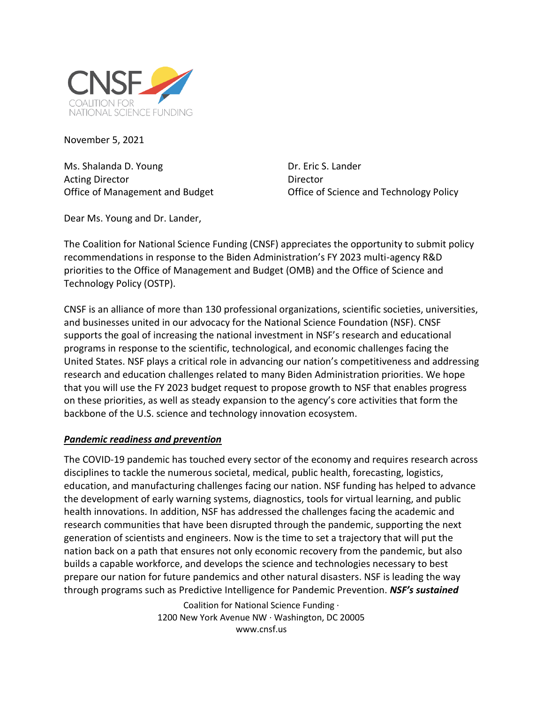

November 5, 2021

Ms. Shalanda D. Young Dr. Eric S. Lander Acting Director **Director** Director

Office of Management and Budget Office of Science and Technology Policy

Dear Ms. Young and Dr. Lander,

The Coalition for National Science Funding (CNSF) appreciates the opportunity to submit policy recommendations in response to the Biden Administration's FY 2023 multi-agency R&D priorities to the Office of Management and Budget (OMB) and the Office of Science and Technology Policy (OSTP).

CNSF is an alliance of more than 130 professional organizations, scientific societies, universities, and businesses united in our advocacy for the National Science Foundation (NSF). CNSF supports the goal of increasing the national investment in NSF's research and educational programs in response to the scientific, technological, and economic challenges facing the United States. NSF plays a critical role in advancing our nation's competitiveness and addressing research and education challenges related to many Biden Administration priorities. We hope that you will use the FY 2023 budget request to propose growth to NSF that enables progress on these priorities, as well as steady expansion to the agency's core activities that form the backbone of the U.S. science and technology innovation ecosystem.

### *Pandemic readiness and prevention*

The COVID-19 pandemic has touched every sector of the economy and requires research across disciplines to tackle the numerous societal, medical, public health, forecasting, logistics, education, and manufacturing challenges facing our nation. NSF funding has helped to advance the development of early warning systems, diagnostics, tools for virtual learning, and public health innovations. In addition, NSF has addressed the challenges facing the academic and research communities that have been disrupted through the pandemic, supporting the next generation of scientists and engineers. Now is the time to set a trajectory that will put the nation back on a path that ensures not only economic recovery from the pandemic, but also builds a capable workforce, and develops the science and technologies necessary to best prepare our nation for future pandemics and other natural disasters. NSF is leading the way through programs such as Predictive Intelligence for Pandemic Prevention. *NSF's sustained*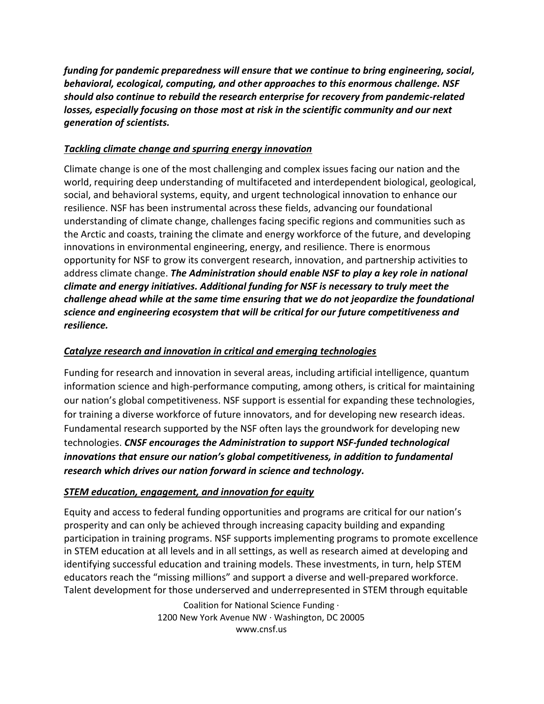*funding for pandemic preparedness will ensure that we continue to bring engineering, social, behavioral, ecological, computing, and other approaches to this enormous challenge. NSF should also continue to rebuild the research enterprise for recovery from pandemic-related losses, especially focusing on those most at risk in the scientific community and our next generation of scientists.* 

# *Tackling climate change and spurring energy innovation*

Climate change is one of the most challenging and complex issues facing our nation and the world, requiring deep understanding of multifaceted and interdependent biological, geological, social, and behavioral systems, equity, and urgent technological innovation to enhance our resilience. NSF has been instrumental across these fields, advancing our foundational understanding of climate change, challenges facing specific regions and communities such as the Arctic and coasts, training the climate and energy workforce of the future, and developing innovations in environmental engineering, energy, and resilience. There is enormous opportunity for NSF to grow its convergent research, innovation, and partnership activities to address climate change. *The Administration should enable NSF to play a key role in national climate and energy initiatives. Additional funding for NSF is necessary to truly meet the challenge ahead while at the same time ensuring that we do not jeopardize the foundational science and engineering ecosystem that will be critical for our future competitiveness and resilience.*

## *Catalyze research and innovation in critical and emerging technologies*

Funding for research and innovation in several areas, including artificial intelligence, quantum information science and high-performance computing, among others, is critical for maintaining our nation's global competitiveness. NSF support is essential for expanding these technologies, for training a diverse workforce of future innovators, and for developing new research ideas. Fundamental research supported by the NSF often lays the groundwork for developing new technologies. *CNSF encourages the Administration to support NSF-funded technological innovations that ensure our nation's global competitiveness, in addition to fundamental research which drives our nation forward in science and technology.*

## *STEM education, engagement, and innovation for equity*

Equity and access to federal funding opportunities and programs are critical for our nation's prosperity and can only be achieved through increasing capacity building and expanding participation in training programs. NSF supports implementing programs to promote excellence in STEM education at all levels and in all settings, as well as research aimed at developing and identifying successful education and training models. These investments, in turn, help STEM educators reach the "missing millions" and support a diverse and well-prepared workforce. Talent development for those underserved and underrepresented in STEM through equitable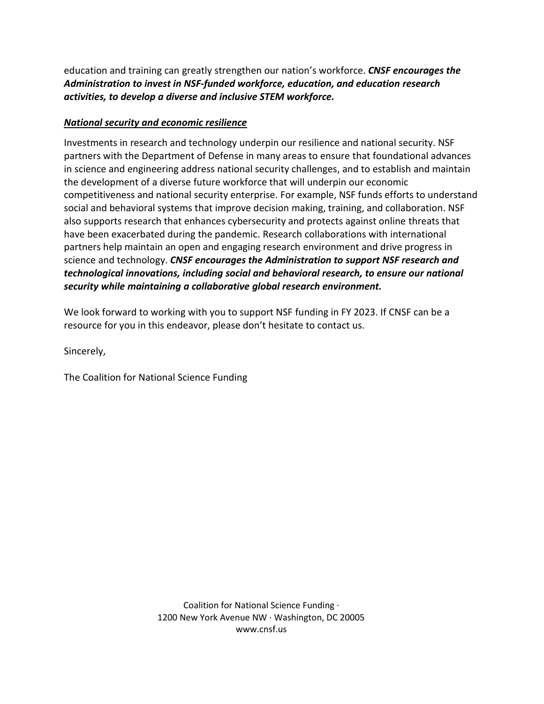education and training can greatly strengthen our nation's workforce. *CNSF encourages the Administration to invest in NSF-funded workforce, education, and education research activities, to develop a diverse and inclusive STEM workforce.*

## *National security and economic resilience*

Investments in research and technology underpin our resilience and national security. NSF partners with the Department of Defense in many areas to ensure that foundational advances in science and engineering address national security challenges, and to establish and maintain the development of a diverse future workforce that will underpin our economic competitiveness and national security enterprise. For example, NSF funds efforts to understand social and behavioral systems that improve decision making, training, and collaboration. NSF also supports research that enhances cybersecurity and protects against online threats that have been exacerbated during the pandemic. Research collaborations with international partners help maintain an open and engaging research environment and drive progress in science and technology. *CNSF encourages the Administration to support NSF research and technological innovations, including social and behavioral research, to ensure our national security while maintaining a collaborative global research environment.*

We look forward to working with you to support NSF funding in FY 2023. If CNSF can be a resource for you in this endeavor, please don't hesitate to contact us.

Sincerely,

The Coalition for National Science Funding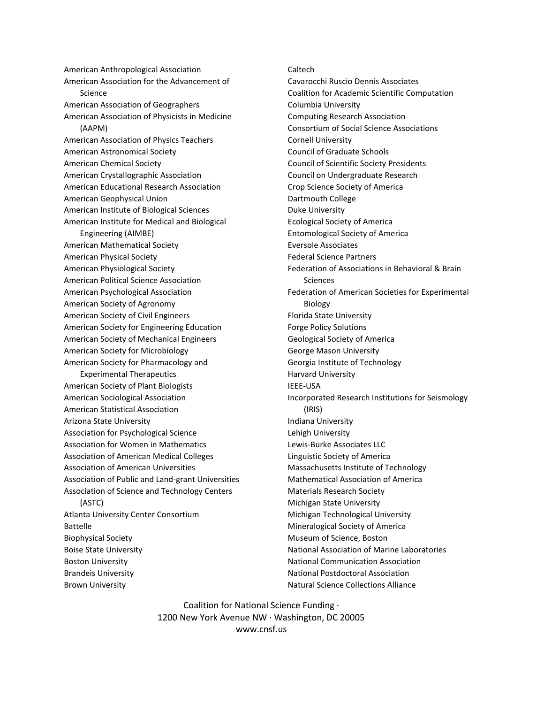American Anthropological Association American Association for the Advancement of Science American Association of Geographers American Association of Physicists in Medicine (AAPM) American Association of Physics Teachers American Astronomical Society American Chemical Society American Crystallographic Association American Educational Research Association American Geophysical Union American Institute of Biological Sciences American Institute for Medical and Biological Engineering (AIMBE) American Mathematical Society American Physical Society American Physiological Society American Political Science Association American Psychological Association American Society of Agronomy American Society of Civil Engineers American Society for Engineering Education American Society of Mechanical Engineers American Society for Microbiology American Society for Pharmacology and Experimental Therapeutics American Society of Plant Biologists American Sociological Association American Statistical Association Arizona State University Association for Psychological Science Association for Women in Mathematics Association of American Medical Colleges Association of American Universities Association of Public and Land-grant Universities Association of Science and Technology Centers

(ASTC) Atlanta University Center Consortium Battelle Biophysical Society Boise State University Boston University Brandeis University Brown University

Caltech Cavarocchi Ruscio Dennis Associates Coalition for Academic Scientific Computation Columbia University Computing Research Association Consortium of Social Science Associations Cornell University Council of Graduate Schools Council of Scientific Society Presidents Council on Undergraduate Research Crop Science Society of America Dartmouth College Duke University Ecological Society of America Entomological Society of America Eversole Associates Federal Science Partners Federation of Associations in Behavioral & Brain **Sciences** Federation of American Societies for Experimental Biology Florida State University Forge Policy Solutions Geological Society of America George Mason University Georgia Institute of Technology Harvard University IEEE-USA Incorporated Research Institutions for Seismology (IRIS) Indiana University Lehigh University Lewis-Burke Associates LLC Linguistic Society of America Massachusetts Institute of Technology Mathematical Association of America Materials Research Society Michigan State University Michigan Technological University Mineralogical Society of America Museum of Science, Boston National Association of Marine Laboratories National Communication Association National Postdoctoral Association Natural Science Collections Alliance